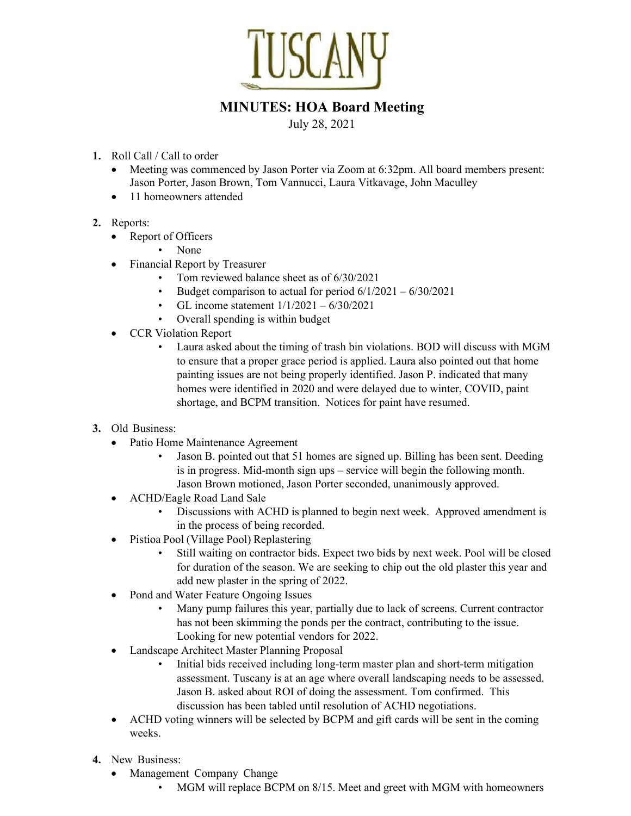

## MINUTES: HOA Board Meeting

July 28, 2021

- 1. Roll Call / Call to order
	- Meeting was commenced by Jason Porter via Zoom at 6:32pm. All board members present: Jason Porter, Jason Brown, Tom Vannucci, Laura Vitkavage, John Maculley
	- 11 homeowners attended
- 2. Reports:
	- Report of Officers
		- None
	- Financial Report by Treasurer
		- Tom reviewed balance sheet as of 6/30/2021
		- Budget comparison to actual for period  $6/1/2021 6/30/2021$
		- GL income statement 1/1/2021 6/30/2021
		- Overall spending is within budget
	- CCR Violation Report
		- Laura asked about the timing of trash bin violations. BOD will discuss with MGM to ensure that a proper grace period is applied. Laura also pointed out that home painting issues are not being properly identified. Jason P. indicated that many homes were identified in 2020 and were delayed due to winter, COVID, paint shortage, and BCPM transition. Notices for paint have resumed.
- 3. Old Business:
	- Patio Home Maintenance Agreement
		- Jason B. pointed out that 51 homes are signed up. Billing has been sent. Deeding is in progress. Mid-month sign ups – service will begin the following month. Jason Brown motioned, Jason Porter seconded, unanimously approved.
	- ACHD/Eagle Road Land Sale
		- Discussions with ACHD is planned to begin next week. Approved amendment is in the process of being recorded.
	- Pistioa Pool (Village Pool) Replastering
		- Still waiting on contractor bids. Expect two bids by next week. Pool will be closed for duration of the season. We are seeking to chip out the old plaster this year and add new plaster in the spring of 2022.
	- Pond and Water Feature Ongoing Issues
		- Many pump failures this year, partially due to lack of screens. Current contractor has not been skimming the ponds per the contract, contributing to the issue. Looking for new potential vendors for 2022.
	- Landscape Architect Master Planning Proposal
		- Initial bids received including long-term master plan and short-term mitigation assessment. Tuscany is at an age where overall landscaping needs to be assessed. Jason B. asked about ROI of doing the assessment. Tom confirmed. This discussion has been tabled until resolution of ACHD negotiations.
	- ACHD voting winners will be selected by BCPM and gift cards will be sent in the coming weeks.
- 4. New Business:
	- Management Company Change
		- MGM will replace BCPM on 8/15. Meet and greet with MGM with homeowners